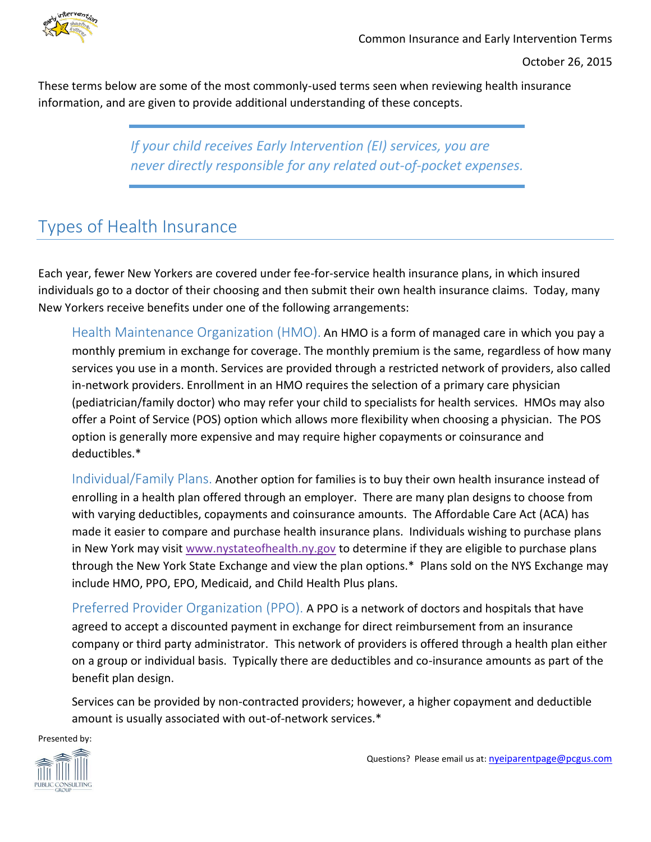

These terms below are some of the most commonly-used terms seen when reviewing health insurance information, and are given to provide additional understanding of these concepts.

> *If your child receives Early Intervention (EI) services, you are never directly responsible for any related out-of-pocket expenses.*

## Types of Health Insurance

Each year, fewer New Yorkers are covered under fee-for-service health insurance plans, in which insured individuals go to a doctor of their choosing and then submit their own health insurance claims. Today, many New Yorkers receive benefits under one of the following arrangements:

Health Maintenance Organization (HMO). An HMO is a form of managed care in which you pay a monthly premium in exchange for coverage. The monthly premium is the same, regardless of how many services you use in a month. Services are provided through a restricted network of providers, also called in-network providers. Enrollment in an HMO requires the selection of a primary care physician (pediatrician/family doctor) who may refer your child to specialists for health services. HMOs may also offer a Point of Service (POS) option which allows more flexibility when choosing a physician. The POS option is generally more expensive and may require higher copayments or coinsurance and deductibles.\*

Individual/Family Plans. Another option for families is to buy their own health insurance instead of enrolling in a health plan offered through an employer. There are many plan designs to choose from with varying deductibles, copayments and coinsurance amounts. The Affordable Care Act (ACA) has made it easier to compare and purchase health insurance plans. Individuals wishing to purchase plans in New York may visit [www.nystateofhealth.ny.gov](http://www.nystateofhealth.ny.gov/) to determine if they are eligible to purchase plans through the New York State Exchange and view the plan options.\* Plans sold on the NYS Exchange may include HMO, PPO, EPO, Medicaid, and Child Health Plus plans.

Preferred Provider Organization (PPO). A PPO is a network of doctors and hospitals that have agreed to accept a discounted payment in exchange for direct reimbursement from an insurance company or third party administrator. This network of providers is offered through a health plan either on a group or individual basis. Typically there are deductibles and co-insurance amounts as part of the benefit plan design.

Services can be provided by non-contracted providers; however, a higher copayment and deductible amount is usually associated with out-of-network services.\*

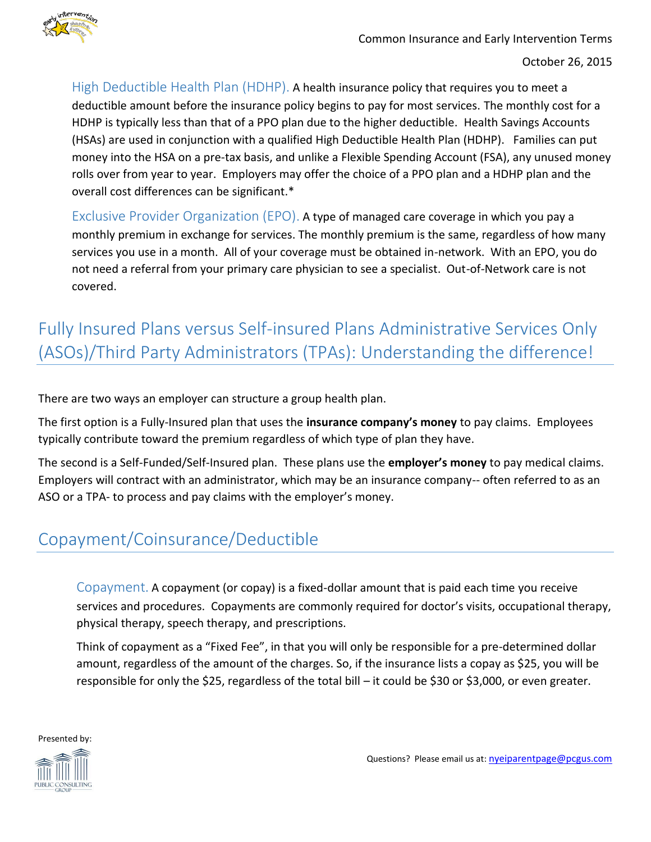

High Deductible Health Plan (HDHP). A health insurance policy that requires you to meet a deductible amount before the insurance policy begins to pay for most services. The monthly cost for a HDHP is typically less than that of a PPO plan due to the higher deductible. Health Savings Accounts (HSAs) are used in conjunction with a qualified High Deductible Health Plan (HDHP). Families can put money into the HSA on a pre-tax basis, and unlike a Flexible Spending Account (FSA), any unused money rolls over from year to year. Employers may offer the choice of a PPO plan and a HDHP plan and the overall cost differences can be significant.\*

Exclusive Provider Organization (EPO). A type of managed care coverage in which you pay a monthly premium in exchange for services. The monthly premium is the same, regardless of how many services you use in a month. All of your coverage must be obtained in-network. With an EPO, you do not need a referral from your primary care physician to see a specialist. Out-of-Network care is not covered.

# Fully Insured Plans versus Self-insured Plans Administrative Services Only (ASOs)/Third Party Administrators (TPAs): Understanding the difference!

There are two ways an employer can structure a group health plan.

The first option is a Fully-Insured plan that uses the **insurance company's money** to pay claims. Employees typically contribute toward the premium regardless of which type of plan they have.

The second is a Self-Funded/Self-Insured plan. These plans use the **employer's money** to pay medical claims. Employers will contract with an administrator, which may be an insurance company-- often referred to as an ASO or a TPA- to process and pay claims with the employer's money.

### Copayment/Coinsurance/Deductible

Copayment. A copayment (or copay) is a fixed-dollar amount that is paid each time you receive services and procedures. Copayments are commonly required for doctor's visits, occupational therapy, physical therapy, speech therapy, and prescriptions.

Think of copayment as a "Fixed Fee", in that you will only be responsible for a pre-determined dollar amount, regardless of the amount of the charges. So, if the insurance lists a copay as \$25, you will be responsible for only the \$25, regardless of the total bill – it could be \$30 or \$3,000, or even greater.

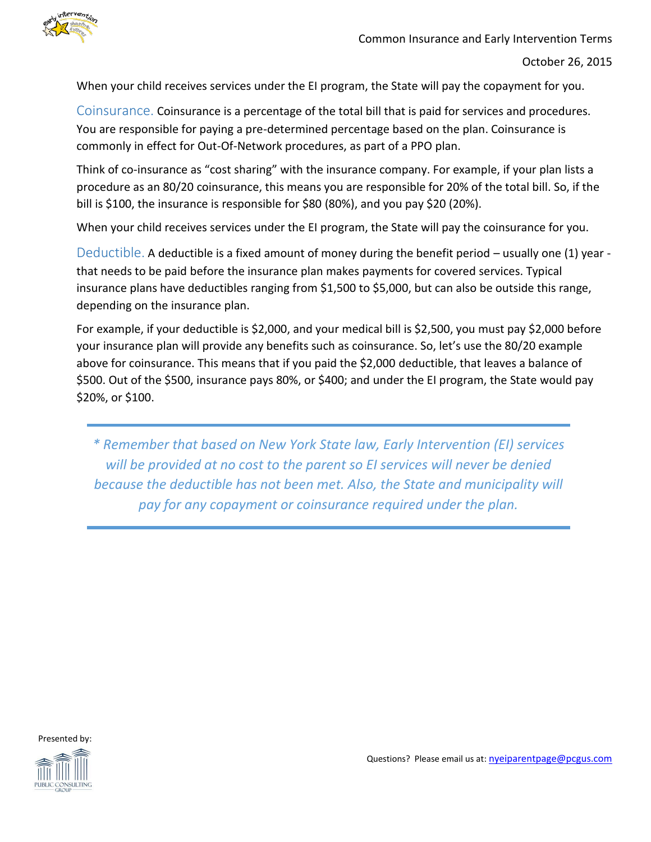

When your child receives services under the EI program, the State will pay the copayment for you.

Coinsurance. Coinsurance is a percentage of the total bill that is paid for services and procedures. You are responsible for paying a pre-determined percentage based on the plan. Coinsurance is commonly in effect for Out-Of-Network procedures, as part of a PPO plan.

Think of co-insurance as "cost sharing" with the insurance company. For example, if your plan lists a procedure as an 80/20 coinsurance, this means you are responsible for 20% of the total bill. So, if the bill is \$100, the insurance is responsible for \$80 (80%), and you pay \$20 (20%).

When your child receives services under the EI program, the State will pay the coinsurance for you.

Deductible. A deductible is a fixed amount of money during the benefit period – usually one (1) year that needs to be paid before the insurance plan makes payments for covered services. Typical insurance plans have deductibles ranging from \$1,500 to \$5,000, but can also be outside this range, depending on the insurance plan.

For example, if your deductible is \$2,000, and your medical bill is \$2,500, you must pay \$2,000 before your insurance plan will provide any benefits such as coinsurance. So, let's use the 80/20 example above for coinsurance. This means that if you paid the \$2,000 deductible, that leaves a balance of \$500. Out of the \$500, insurance pays 80%, or \$400; and under the EI program, the State would pay \$20%, or \$100.

*\* Remember that based on New York State law, Early Intervention (EI) services will be provided at no cost to the parent so EI services will never be denied because the deductible has not been met. Also, the State and municipality will pay for any copayment or coinsurance required under the plan.*

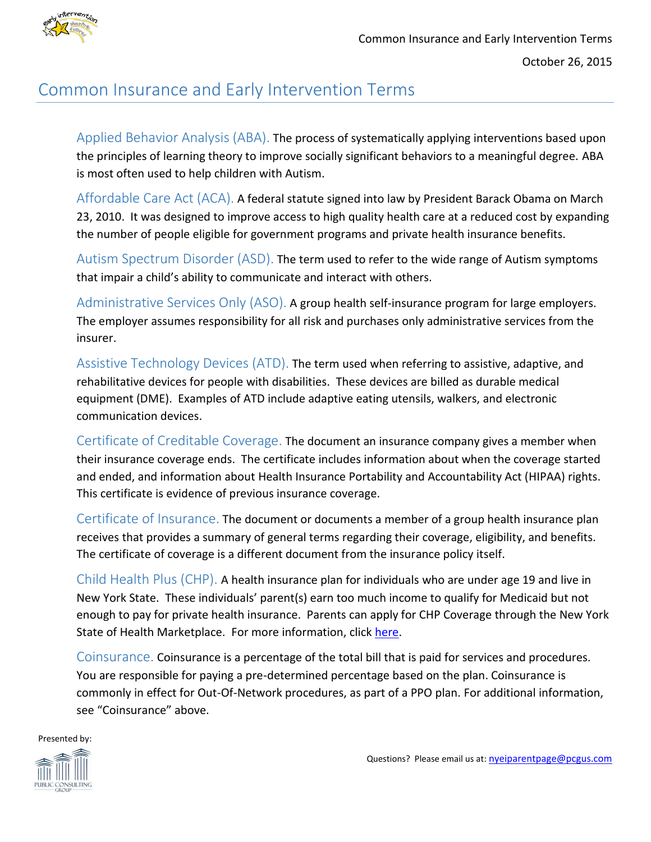

#### Common Insurance and Early Intervention Terms

Applied Behavior Analysis (ABA). The process of systematically applying interventions based upon the principles of learning theory to improve socially significant behaviors to a meaningful degree. ABA is most often used to help children with Autism.

Affordable Care Act (ACA). A federal statute signed into law by President Barack Obama on March 23, 2010. It was designed to improve access to high quality health care at a reduced cost by expanding the number of people eligible for government programs and private health insurance benefits.

Autism Spectrum Disorder (ASD). The term used to refer to the wide range of Autism symptoms that impair a child's ability to communicate and interact with others.

Administrative Services Only (ASO). A group health self-insurance program for large employers. The employer assumes responsibility for all risk and purchases only administrative services from the insurer.

Assistive Technology Devices (ATD). The term used when referring to assistive, adaptive, and rehabilitative devices for people with disabilities. These devices are billed as durable medical equipment (DME). Examples of ATD include adaptive eating utensils, walkers, and electronic communication devices.

Certificate of Creditable Coverage. The document an insurance company gives a member when their insurance coverage ends. The certificate includes information about when the coverage started and ended, and information about Health Insurance Portability and Accountability Act (HIPAA) rights. This certificate is evidence of previous insurance coverage.

Certificate of Insurance. The document or documents a member of a group health insurance plan receives that provides a summary of general terms regarding their coverage, eligibility, and benefits. The certificate of coverage is a different document from the insurance policy itself.

Child Health Plus (CHP). A health insurance plan for individuals who are under age 19 and live in New York State. These individuals' parent(s) earn too much income to qualify for Medicaid but not enough to pay for private health insurance. Parents can apply for CHP Coverage through the New York State of Health Marketplace. For more information, click [here.](https://www.health.ny.gov/health_care/child_health_plus/)

Coinsurance. Coinsurance is a percentage of the total bill that is paid for services and procedures. You are responsible for paying a pre-determined percentage based on the plan. Coinsurance is commonly in effect for Out-Of-Network procedures, as part of a PPO plan. For additional information, see "Coinsurance" above.

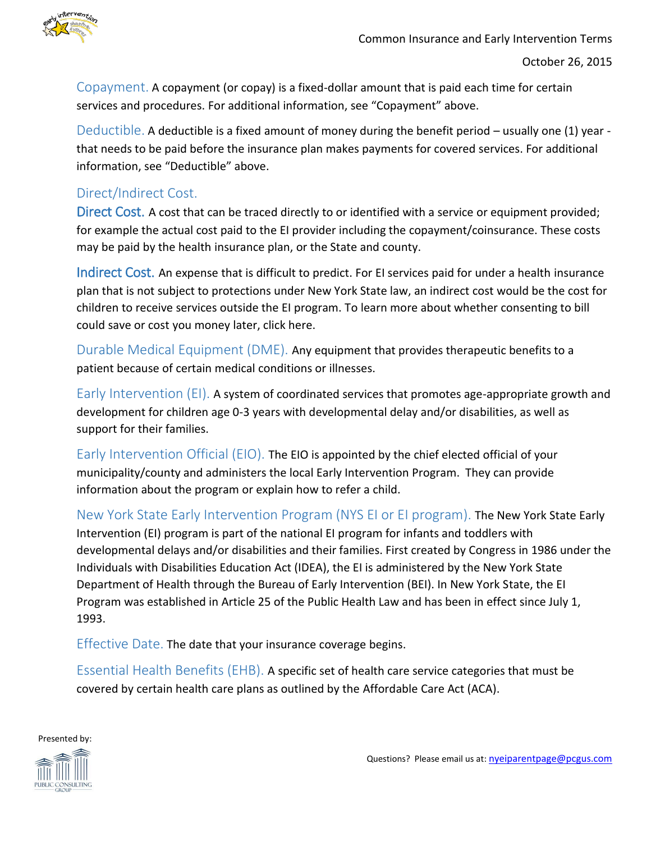

Copayment. A copayment (or copay) is a fixed-dollar amount that is paid each time for certain services and procedures. For additional information, see "Copayment" above.

Deductible. A deductible is a fixed amount of money during the benefit period – usually one (1) year that needs to be paid before the insurance plan makes payments for covered services. For additional information, see "Deductible" above.

#### Direct/Indirect Cost.

Direct Cost. A cost that can be traced directly to or identified with a service or equipment provided; for example the actual cost paid to the EI provider including the copayment/coinsurance. These costs may be paid by the health insurance plan, or the State and county.

Indirect Cost. An expense that is difficult to predict. For EI services paid for under a health insurance plan that is not subject to protections under New York State law, an indirect cost would be the cost for children to receive services outside the EI program. To learn more about whether consenting to bill could save or cost you money later, click here.

Durable Medical Equipment (DME). Any equipment that provides therapeutic benefits to a patient because of certain medical conditions or illnesses.

Early Intervention (EI). A system of coordinated services that promotes age-appropriate growth and development for children age 0-3 years with developmental delay and/or disabilities, as well as support for their families.

Early Intervention Official (EIO). The EIO is appointed by the chief elected official of your municipality/county and administers the local Early Intervention Program. They can provide information about the program or explain how to refer a child.

New York State Early Intervention Program (NYS EI or EI program). The New York State Early Intervention (EI) program is part of the national EI program for infants and toddlers with developmental delays and/or disabilities and their families. First created by Congress in 1986 under the Individuals with Disabilities Education Act (IDEA), the EI is administered by the New York State Department of Health through the Bureau of Early Intervention (BEI). In New York State, the EI Program was established in Article 25 of the Public Health Law and has been in effect since July 1, 1993.

Effective Date. The date that your insurance coverage begins.

Essential Health Benefits (EHB). A specific set of health care service categories that must be covered by certain health care plans as outlined by the Affordable Care Act (ACA).

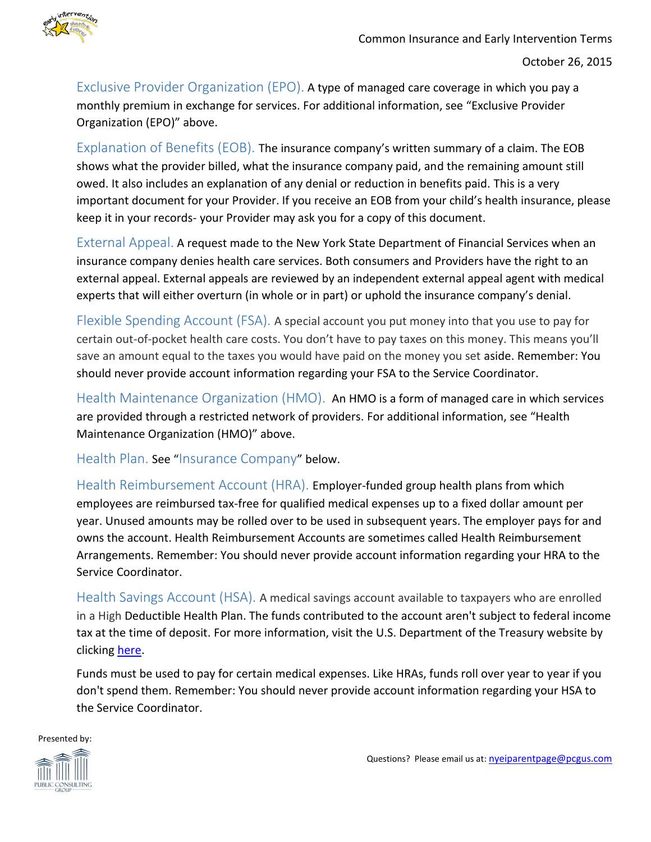

Exclusive Provider Organization (EPO). A type of managed care coverage in which you pay a monthly premium in exchange for services. For additional information, see "Exclusive Provider Organization (EPO)" above.

Explanation of Benefits (EOB). The insurance company's written summary of a claim. The EOB shows what the provider billed, what the insurance company paid, and the remaining amount still owed. It also includes an explanation of any denial or reduction in benefits paid. This is a very important document for your Provider. If you receive an EOB from your child's health insurance, please keep it in your records- your Provider may ask you for a copy of this document.

External Appeal. A request made to the New York State Department of Financial Services when an insurance company denies health care services. Both consumers and Providers have the right to an external appeal. External appeals are reviewed by an independent external appeal agent with medical experts that will either overturn (in whole or in part) or uphold the insurance company's denial.

Flexible Spending Account (FSA). A special account you put money into that you use to pay for certain out-of-pocket health care costs. You don't have to pay taxes on this money. This means you'll save an amount equal to the taxes you would have paid on the money you set aside. Remember: You should never provide account information regarding your FSA to the Service Coordinator.

Health Maintenance Organization (HMO). An HMO is a form of managed care in which services are provided through a restricted network of providers. For additional information, see "Health Maintenance Organization (HMO)" above.

Health Plan. See "Insurance Company" below.

Health Reimbursement Account (HRA). Employer-funded group health plans from which employees are reimbursed tax-free for qualified medical expenses up to a fixed dollar amount per year. Unused amounts may be rolled over to be used in subsequent years. The employer pays for and owns the account. Health Reimbursement Accounts are sometimes called Health Reimbursement Arrangements. Remember: You should never provide account information regarding your HRA to the Service Coordinator.

Health Savings Account (HSA). A medical savings account available to taxpayers who are enrolled in a High Deductible Health Plan. The funds contributed to the account aren't subject to federal income tax at the time of deposit. For more information, visit the U.S. Department of the Treasury website by clicking [here.](http://www.treasury.gov/Pages/default.aspx)

Funds must be used to pay for certain medical expenses. Like HRAs, funds roll over year to year if you don't spend them. Remember: You should never provide account information regarding your HSA to the Service Coordinator.

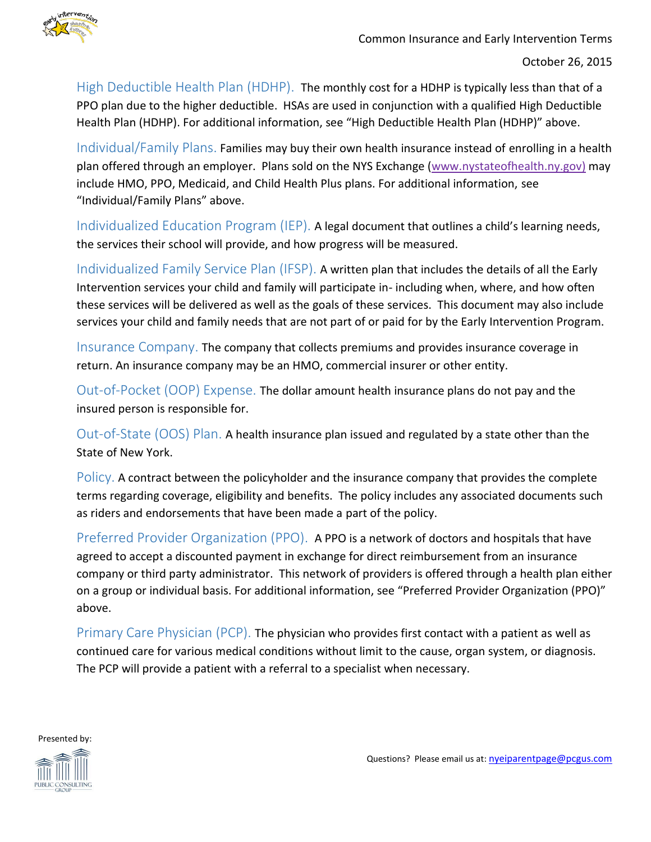

High Deductible Health Plan (HDHP). The monthly cost for a HDHP is typically less than that of a PPO plan due to the higher deductible. HSAs are used in conjunction with a qualified High Deductible Health Plan (HDHP). For additional information, see "High Deductible Health Plan (HDHP)" above.

Individual/Family Plans. Families may buy their own health insurance instead of enrolling in a health plan offered through an employer. Plans sold on the NYS Exchange [\(www.nystateofhealth.ny.gov\)](http://www.nystateofhealth.ny.gov/) may include HMO, PPO, Medicaid, and Child Health Plus plans. For additional information, see "Individual/Family Plans" above.

Individualized Education Program (IEP). A legal document that outlines a child's learning needs, the services their school will provide, and how progress will be measured.

Individualized Family Service Plan (IFSP). A written plan that includes the details of all the Early Intervention services your child and family will participate in- including when, where, and how often these services will be delivered as well as the goals of these services. This document may also include services your child and family needs that are not part of or paid for by the Early Intervention Program.

Insurance Company. The company that collects premiums and provides insurance coverage in return. An insurance company may be an HMO, commercial insurer or other entity.

Out-of-Pocket (OOP) Expense. The dollar amount health insurance plans do not pay and the insured person is responsible for.

Out-of-State (OOS) Plan. A health insurance plan issued and regulated by a state other than the State of New York.

Policy. A contract between the policyholder and the insurance company that provides the complete terms regarding coverage, eligibility and benefits. The policy includes any associated documents such as riders and endorsements that have been made a part of the policy.

Preferred Provider Organization (PPO). A PPO is a network of doctors and hospitals that have agreed to accept a discounted payment in exchange for direct reimbursement from an insurance company or third party administrator. This network of providers is offered through a health plan either on a group or individual basis. For additional information, see "Preferred Provider Organization (PPO)" above.

Primary Care Physician (PCP). The physician who provides first contact with a patient as well as continued care for various medical conditions without limit to the cause, organ system, or diagnosis. The PCP will provide a patient with a referral to a specialist when necessary.

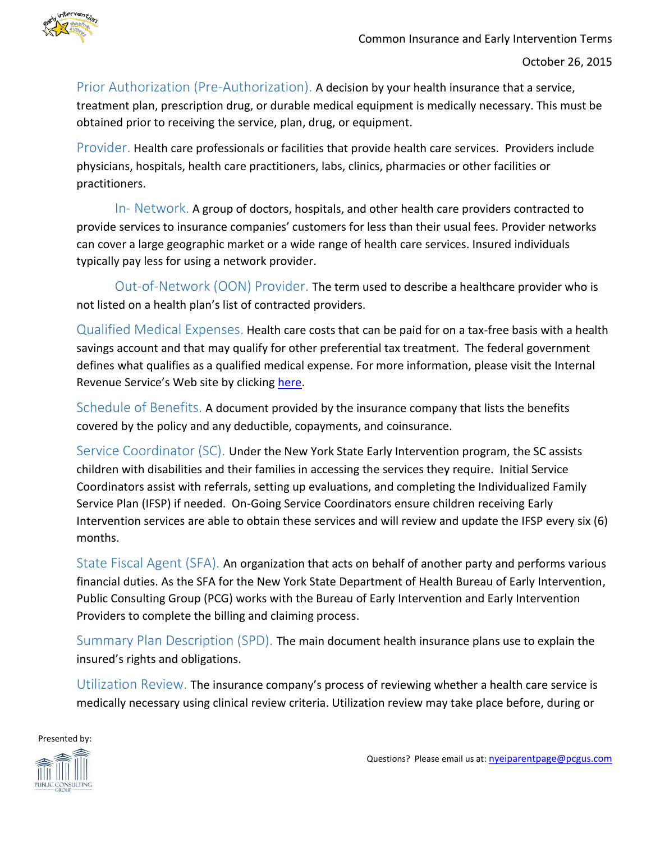

Prior Authorization (Pre-Authorization). A decision by your health insurance that a service, treatment plan, prescription drug, or durable medical equipment is medically necessary. This must be obtained prior to receiving the service, plan, drug, or equipment.

Provider. Health care professionals or facilities that provide health care services. Providers include physicians, hospitals, health care practitioners, labs, clinics, pharmacies or other facilities or practitioners.

In- Network. A group of doctors, hospitals, and other health care providers contracted to provide services to insurance companies' customers for less than their usual fees. Provider networks can cover a large geographic market or a wide range of health care services. Insured individuals typically pay less for using a network provider.

Out-of-Network (OON) Provider. The term used to describe a healthcare provider who is not listed on a health plan's list of contracted providers.

Qualified Medical Expenses. Health care costs that can be paid for on a tax-free basis with a health savings account and that may qualify for other preferential tax treatment. The federal government defines what qualifies as a qualified medical expense. For more information, please visit the Internal Revenue Service's Web site by clicking [here.](http://www.irs.gov/)

Schedule of Benefits. A document provided by the insurance company that lists the benefits covered by the policy and any deductible, copayments, and coinsurance.

Service Coordinator (SC). Under the New York State Early Intervention program, the SC assists children with disabilities and their families in accessing the services they require. Initial Service Coordinators assist with referrals, setting up evaluations, and completing the Individualized Family Service Plan (IFSP) if needed. On-Going Service Coordinators ensure children receiving Early Intervention services are able to obtain these services and will review and update the IFSP every six (6) months.

State Fiscal Agent (SFA). An organization that acts on behalf of another party and performs various financial duties. As the SFA for the New York State Department of Health Bureau of Early Intervention, Public Consulting Group (PCG) works with the Bureau of Early Intervention and Early Intervention Providers to complete the billing and claiming process.

Summary Plan Description (SPD). The main document health insurance plans use to explain the insured's rights and obligations.

Utilization Review. The insurance company's process of reviewing whether a health care service is medically necessary using clinical review criteria. Utilization review may take place before, during or